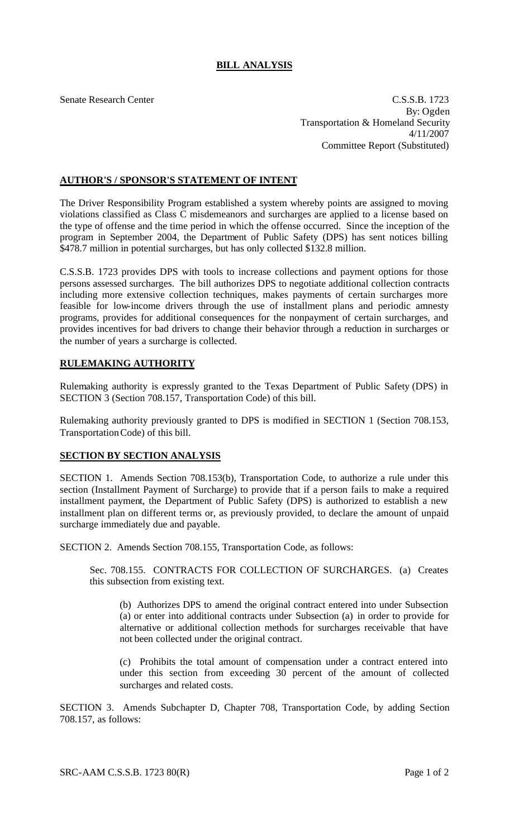## **BILL ANALYSIS**

Senate Research Center C.S.S.B. 1723 By: Ogden Transportation & Homeland Security 4/11/2007 Committee Report (Substituted)

## **AUTHOR'S / SPONSOR'S STATEMENT OF INTENT**

The Driver Responsibility Program established a system whereby points are assigned to moving violations classified as Class C misdemeanors and surcharges are applied to a license based on the type of offense and the time period in which the offense occurred. Since the inception of the program in September 2004, the Department of Public Safety (DPS) has sent notices billing \$478.7 million in potential surcharges, but has only collected \$132.8 million.

C.S.S.B. 1723 provides DPS with tools to increase collections and payment options for those persons assessed surcharges. The bill authorizes DPS to negotiate additional collection contracts including more extensive collection techniques, makes payments of certain surcharges more feasible for low-income drivers through the use of installment plans and periodic amnesty programs, provides for additional consequences for the nonpayment of certain surcharges, and provides incentives for bad drivers to change their behavior through a reduction in surcharges or the number of years a surcharge is collected.

## **RULEMAKING AUTHORITY**

Rulemaking authority is expressly granted to the Texas Department of Public Safety (DPS) in SECTION 3 (Section 708.157, Transportation Code) of this bill.

Rulemaking authority previously granted to DPS is modified in SECTION 1 (Section 708.153, Transportation Code) of this bill.

## **SECTION BY SECTION ANALYSIS**

SECTION 1. Amends Section 708.153(b), Transportation Code, to authorize a rule under this section (Installment Payment of Surcharge) to provide that if a person fails to make a required installment payment, the Department of Public Safety (DPS) is authorized to establish a new installment plan on different terms or, as previously provided, to declare the amount of unpaid surcharge immediately due and payable.

SECTION 2. Amends Section 708.155, Transportation Code, as follows:

Sec. 708.155. CONTRACTS FOR COLLECTION OF SURCHARGES. (a) Creates this subsection from existing text.

(b) Authorizes DPS to amend the original contract entered into under Subsection (a) or enter into additional contracts under Subsection (a) in order to provide for alternative or additional collection methods for surcharges receivable that have not been collected under the original contract.

(c) Prohibits the total amount of compensation under a contract entered into under this section from exceeding 30 percent of the amount of collected surcharges and related costs.

SECTION 3. Amends Subchapter D, Chapter 708, Transportation Code, by adding Section 708.157, as follows: